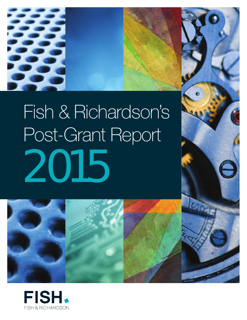

# Fish & Richardson's Post-Grant Report 2015





**LOG** 

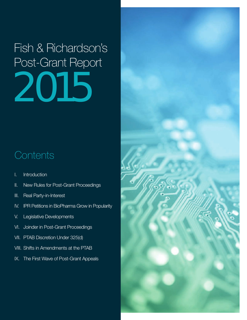Fish & Richardson's Post-Grant Report 2015

### **Contents**

- I. Introduction
- II. New Rules for Post-Grant Proceedings
- III. Real Party-in-Interest
- IV. IPR Petitions in BioPharma Grow in Popularity
- V. Legislative Developments
- VI. Joinder in Post-Grant Proceedings
- VII. PTAB Discretion Under 325(d)
- VIII. Shifts in Amendments at the PTAB
- IX. The First Wave of Post-Grant Appeals

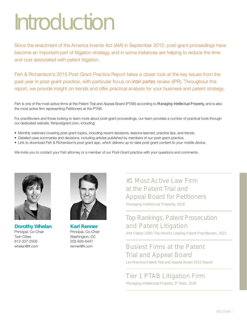# Introduction

Since the enactment of the America Invents Act (AIA) in September 2012, post-grant proceedings have become an important part of litigation strategy, and in some instances are helping to reduce the time and cost associated with patent litigation.

Fish & Richardson's 2015 Post-Grant Practice Report takes a closer look at the key issues from the past year in post-grant practice, with particular focus on *inter partes* review (IPR). Throughout this report, we provide insight on trends and offer practical analysis for your business and patent strategy.

Fish is one of the most active firms at the Patent Trial and Appeal Board (PTAB) according to *Managing Intellectual Property,* and is also the most active firm representing Petitioners at the PTAB.

For practitioners and those looking to learn more about post-grant proceedings, our team provides a number of practical tools through our dedicated website, fishpostgrant.com, including:

- Monthly webinars covering post-grant topics, including recent decisions, lessons learned, practice tips, and trends.
- Detailed case summaries and decisions, including articles published by members of our post-grant practice.
- Link to download Fish & Richardson's post-grant app, which delivers up-to-date post-grant content to your mobile device.

We invite you to contact your Fish attorney or a member of our Post-Grant practice with your questions and comments.



**Dorothy Whelan** Principal, Co-Chair Twin Cities 612-337-2509 whelan@fr.com



**Karl Renner** Principal, Co-Chair Washington, DC 202-626-6447 renner@fr.com

### #1 Most Active Law Firm at the Patent Trial and Appeal Board for Petitioners

*Managing Intellectual Property, 2016*

### Top Rankings, Patent Prosecution and Patent Litigation

*IAM Patent 1000: The World's Leading Patent Practitioners, 2015*

### Busiest Firms at the Patent Trial and Appeal Board

*Lex Machina Patent Trial and Appeal Board 2015 Report*

### Tier 1 PTAB Litigation Firm

*Managing Intellectual Property, IP Stars, 2016*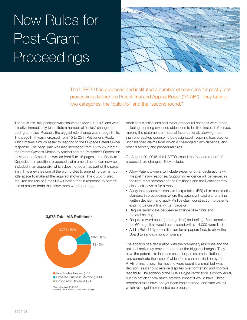# New Rules for Post-Grant Proceedings



The USPTO has proposed and instituted a number of new rules for post-grant proceedings before the Patent Trial and Appeal Board ("PTAB"). They fall into two categories: the "quick fix" and the "second round."

The "quick fix" rule package was finalized on May 19, 2015, and was effective immediately to institute a number of "quick" changes to post-grant rules. Probably the biggest rule change was in page limits. The page limit was increased from 15 to 25 in Petitioner's Reply, which makes it much easier to respond to the 60-page Patent Owner response. The page limit was also increased from 15 to 25 in both the Patent Owner's Motion to Amend and the Petitioner's Opposition to Motion to Amend, as well as from 5 to 15 pages in the Reply to Opposition. In addition, proposed claim amendments can now be included in an appendix, which does not count as part of the page limit. This alleviates one of the big hurdles to amending claims: too little space to make all the required showings. The quick fix also required the use of Times New Roman font in response to parties' use of smaller fonts that allow more words per page.



#### **3,973 Total AIA Petitions\***

Additional clarifications and minor procedural changes were made, including requiring evidence objections to be filed instead of served, making the statement of material facts optional, allowing more than one backup counsel to be designated, requiring fees paid for unchallenged claims from which a challenged claim depends, and other discovery and procedural rules.

On August 20, 2015, the USPTO issued the "second round" of proposed rule changes. They include:

- Allow Patent Owners to include expert or other declarations with the preliminary response. Supporting evidence will be viewed in the light most favorable to the Petitioner, and the Petitioner may also seek leave to file a reply.
- Apply the broadest reasonable interpretation (BRI) claim construction standard in proceedings where the patent will expire after a final written decision, and apply Phillips claim construction to patents expiring before a final written decision.
- Require seven days between exchange of exhibits and the oral hearing.
- Require a word count (not page limit) for briefing. For example, the 60-page limit would be replaced with a  $14,000$ -word limit. 1,737
- $\bullet$  Add a Rule 11-type certification for all papers filed, to allow the Board to sanction noncompliance.  $\cdot$

The addition of a declaration with the preliminary response and the optional reply may prove to be one of the biggest changes. They have the potential to increase costs for parties pre-institution, and also complicate the issue of which facts can be relied on by the PTAB at institution. The move to word count is a small but wise The decision, as it should reduce disputes over formatting and improve readability. The addition of the Rule 11-type certification is controversial, but it is not clear how much practical impact it would have. These proposed rules have not yet been implemented, and time will tell *Source: PTAB Statistics, FY2015, www.uspto.gov* which rules get implemented as proposed.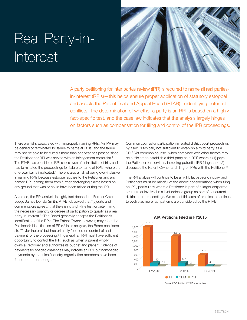### Real Party-in-**Interest**



A party petitioning for *inter partes* review (IPR) is required to name all real partiesin-interest (RPIs)—this helps ensure proper application of statutory estoppel and assists the Patent Trial and Appeal Board (PTAB) in identifying potential conflicts. The determination of whether a party is an RPI is based on a highly fact-specific test, and the case law indicates that the analysis largely hinges on factors such as compensation for filing and control of the IPR proceedings.

There are risks associated with improperly naming RPIs. An IPR may be denied or terminated for failure to name all RPIs, and the failure may not be able to be cured if more than one year has passed since the Petitioner or RPI was served with an infringement complaint.<sup>1</sup> The PTAB has considered RPI issues even after institution of trial, and has terminated the proceedings for failure to name all RPIs, where the one-year bar is implicated.<sup>2</sup> There is also a risk of being over-inclusive in naming RPIs because estoppel applies to the Petitioner and any named RPI, barring them from further challenging claims based on any ground that was or could have been raised during the IPR.

As noted, the RPI analysis is highly fact dependent. Former Chief Judge James Donald Smith, PTAB, observed that "[c]ourts and commentators agree ... that there is no bright-line test for determining the necessary quantity or degree of participation to qualify as a real party-in-interest."3 The Board generally accepts the Petitioner's **3,973 Total AIA Petitions\*** identification of the RPIs. The Patent Owner, however, may rebut the Petitioner's identification of RPIs.<sup>4</sup> In its analysis, the Board considers six "Taylor factors" but has primarily focused on control of and payment for the proceeding.<sup>5</sup> In general, an RPI must have sufficient  $\overline{\phantom{a}}$  opportunity to control the IPR, such as when a parent wholly owns a Petitioner and authorizes its budget and plans.<sup>6</sup> Evidence of payments for specific challenges may indicate an RPI, but nonspecific payments by technical/industry organization members have been found to not be enough.<sup>7</sup>

Common counsel or participation in related district court proceedings, by itself, is typically not sufficient to establish a third party as a RPI.<sup>8</sup> Yet common counsel, when combined with other factors may be sufficient to establish a third party as a RPI<sup>8</sup> where it (1) pays the Petitioner for services, including potential IPR filings, and (2) discusses the Patent Owner and filing of IPRs with the Petitioner.9

The RPI analysis will continue to be a highly fact-specific inquiry, and Petitioners must be mindful of the above considerations when filing an IPR, particularly where a Petitioner is part of a larger corporate structure or involved in a joint defense group as part of concurrent district court proceedings. We expect this area of practice to continue to evolve as more fact patterns are considered by the PTAB.



#### **AIA Petitions Filed in FY2015**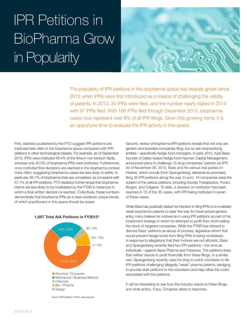# IPR Petitions in BioPharma Grow in Popularity



The popularity of IPR petitions in the biopharma space has steadily grown since 2012 when IPRs were first introduced as a means of challenging the validity of patents. In 2013, 34 IPRs were filed, and the number nearly tripled in 2014 with 97 IPRs filed. With 168 IPRs filed through December 2015, biopharma cases now represent over 9% of all IPR filings. Given this growing trend, it is an opportune time to evaluate the IPR activity in this space.

First, statistics published by the PTO suggest IPR petitions are instituted less often in the biopharma space compared with IPR petitions in other technological classes. For example, as of September power is the time spice. Backbook in the time in non-biotech fields, whereas only 40.5% of biopharma IPRs were instituted. Furthermore, once instituted final decisions are reached in the biopharma context more often, suggesting biopharma cases are less likely to settle. In more energy engines are also are noted in the section.<br>Particular, 65.7% of biopharma trials are completed, as compared with 57.7% of all IPR petitions. PTO statistics further reveal that biopharma claims are less likely to be invalidated by the PTAB in instances in which a final written decision is reached. Collectively, these numbers demonstrate that biopharma IPRs as a class evidence unique trends, of which practitioners in this space should be aware. 0



**1,897 Total AIA Petitions in FY2015\***

Second, review of biopharma IPR petitions reveals that not only are generic and branded companies filing, but so are nonpracticing entities—specifically hedge fund managers. In early 2015, Kyle Bass, founder of Dallas-based hedge fund Hayman Capital Management, e, announced plans to challenge 15 drug companies' patents via IPR. As of November 30, 2015, Bass and his various real parties-ininterest, which include Erich Spangenberg, delivered as promised, filing 35 IPR petitions along the way. In sum, 16 companies were the *Source: PTAB Statistics, FY2015, www.uspto.gov* subject of the various petitions, including Acorda Therapeutics, Pozen, Biogen, and Celgene. To date, a decision on institution has been reached in 15 of the 35 cases, with IPR being instituted in seven of these cases.

While Bass has publically stated his intention in filing IPRs is to invalidate weak biopharma patents to clear the way for lower-priced generic entry, many believe his motives lie in using IPR petitions as part of his investment strategy in which he attempts to profit from short-selling the stock of targeted companies. While the PTAB has refused to dismiss Bass' petitions as abuse of process, legislative reform that would prevent hedge funds from filing IPRs is being considered. In response to allegations that their motives are not altruistic, Bass and Spangenberg recently filed two IPR petitions—this time as individuals—against Alpex Pharma and Fresenius. The petitions state that neither stands to profit financially from these filings. In a similar vein, Spangenberg recently used his blog to solicit volunteers to file IPR petitions challenging allegedly "weak" pharma patents, pledging to provide draft petitions to the volunteers and help offset the costs associated with the petitions.

It will be interesting to see how the industry reacts to these filings, and what action, if any, Congress takes in response.

*\*Cumulative since 9/16/2012 Source: PTAB Statistics, FY2015, www.uspto.gov Source: PTAB Statistics, FY2015, www.uspto.gov*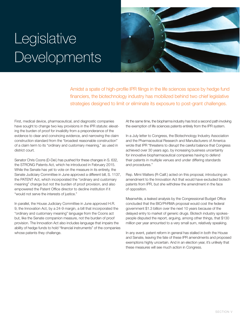### **Legislative Developments**



Amidst a spate of high-profile IPR filings in the life sciences space by hedge fund financiers, the biotechnology industry has mobilized behind two chief legislative strategies designed to limit or eliminate its exposure to post-grant challenges.

First, medical device, pharmaceutical, and diagnostic companies have sought to change two key provisions in the IPR statute: elevating the burden of proof for invalidity from a preponderance of the evidence to clear and convincing evidence, and narrowing the claim construction standard from the "broadest reasonable construction" of a claim term to its "ordinary and customary meaning," as used in district court.

Senator Chris Coons (D-Del.) has pushed for these changes in S. 632, the STRONG Patents Act, which he introduced in February 2015. While the Senate has yet to vote on the measure in its entirety, the Senate Judiciary Committee in June approved a different bill, S. 1137, the PATENT Act, which incorporated the "ordinary and customary meaning" change but not the burden of proof provision, and also empowered the Patent Office director to decline institution if it "would not serve the interests of justice."

In parallel, the House Judiciary Committee in June approved H.R. 9, the Innovation Act, by a 24-9 margin, a bill that incorporated the "ordinary and customary meaning" language from the Coons act but, like the Senate companion measure, not the burden of proof provision. The Innovation Act also includes language that impairs the ability of hedge funds to hold "financial instruments" of the companies whose patents they challenge.

At the same time, the biopharma industry has trod a second path involving the exemption of life sciences patents entirely from the IPR system.

In a July letter to Congress, the Biotechnology Industry Association and the Pharmaceutical Research and Manufacturers of America wrote that IPR "threatens to disrupt the careful balance that Congress achieved over 30 years ago, by increasing business uncertainty for innovative biopharmaceutical companies having to defend their patents in multiple venues and under differing standards and procedures."

Rep. Mimi Walters (R-Calif.) acted on this proposal, introducing an amendment to the Innovation Act that would have excluded biotech patents from IPR, but she withdrew the amendment in the face of opposition.

Meanwhile, a leaked analysis by the Congressional Budget Office concluded that the BIO/PhRMA proposal would cost the federal government \$1.3 billion over the next 10 years because of the delayed entry to market of generic drugs. Biotech industry spokespeople disputed the report, arguing, among other things, that \$130 million per year amounted to a very small sum, relatively speaking.

In any event, patent reform in general has stalled in both the House and Senate, leaving the fate of these IPR amendments and proposed exemptions highly uncertain. And in an election year, it's unlikely that these measures will see much action in Congress.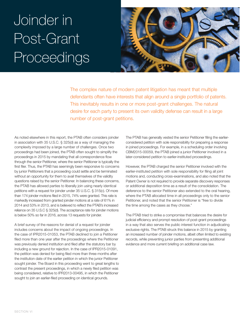# Joinder in Post-Grant Proceedings



The complex nature of modern patent litigation has meant that multiple defendants often have interests that align around a single portfolio of patents. This inevitably results in one or more post-grant challenges. The natural desire for each party to present its own validity defense can result in a large number of post-grant petitions.

As noted elsewhere in this report, the PTAB often considers joinder in association with 35 U.S.C. § 325(d) as a way of managing the complexity imposed by a large number of challenges. Once two proceedings had been joined, the PTAB often sought to simplify the proceedings in 2015 by mandating that all correspondence flow through the senior Petitioner, where the senior Petitioner is typically the first filer. Thus, the PTAB has seemingly been responsive to concerns by junior Petitioners that a proceeding could settle and be terminated without an opportunity for them to avail themselves of the validity questions raised by the senior Petitioner. In balancing these concerns, the PTAB has allowed parties to liberally join using nearly identical petitions with a request for joinder under 35 U.S.C. § 315(c). Of more than 174 joinder motions filed in 2015, 74% were granted. This rate is markedly increased from granted joinder motions at a rate of 61% in 2014 and 53% in 2013, and is believed to reflect the PTAB's increased reliance on 35 U.S.C § 325(d). The acceptance rate for joinder motions is below 50% so far in 2016, across 13 requests for joinder.

A brief survey of the reasons for denial of a request for joinder includes concerns about the impact of ongoing proceedings. In the case of IPR2015-01053, the PTAB declined to join a Petitioner filed more than one year after the proceedings where the Petitioner was previously denied institution and filed after the statutory bar by including a new ground for rejection. In the case of IPR2015-01091, the petition was denied for being filed more than three months after the institution date of the earlier petition in which the junior Petitioner sought joinder. The Board in this proceeding went to great lengths to contrast the present proceedings, in which a newly filed petition was being considered, relative to IPR2013-00495, in which the Petitioner sought to join an earlier-filed proceeding on identical grounds.

The PTAB has generally vested the senior Petitioner filing the earlierconsidered petition with sole responsibility for preparing a response in joined proceedings. For example, in a scheduling order involving CBM2015-00059, the PTAB joined a junior Petitioner involved in a later-considered petition to earlier-instituted proceedings.

However, the PTAB charged the senior Petitioner involved with the earlier-instituted petition with sole responsibility for filing all joint motions and, conducting cross-examinations, and also noted that the Patent Owner is not required to provide separate discovery responses or additional deposition time as a result of the consolidation. The deference to the senior Petitioner also extended to the oral hearing, where the PTAB allocated time in all proceedings only to the senior Petitioner, and noted that the senior Petitioner is "free to divide the time among the cases as they choose."

The PTAB tried to strike a compromise that balances the desire for judicial efficiency and prompt resolution of post-grant proceedings in a way that also serves the public interest function in adjudicating exclusive rights. The PTAB struck this balance in 2015 by granting an increased number of joinder motions, albeit often limited to existing records, while preventing junior parties from presenting additional evidence and more current briefing on additional case law.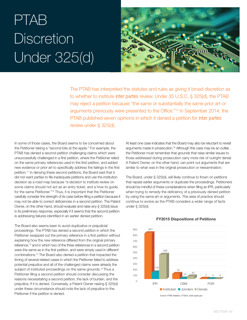# PTAB **Discretion** Under 325(d)



The PTAB has interpreted the statutes and rules as giving it broad discretion as to whether to institute *inter partes* review. Under 35 U.S.C. § 325(d), the PTAB may reject a petition because "the same or substantially the same prior art or arguments previously were presented to the Office."10 In September 2014, the PTAB published seven opinions in which it denied a petition for *inter partes* review under § 325(d).

In some of those cases, the Board seems to be concerned about the Petitioner taking a "second bite at the apple." For example, the PTAB has denied a second petition challenging claims which were unsuccessfully challenged in a first petition, where the Petitioner relied on the same primary references used in the first petition, and added new evidence or prior art to specifically address the failings in the first petition.11 In denying these second petitions, the Board said that it did not want parties to file inadequate petitions and use the institution decision as a road map because "a decision to institute review on some claims should not act as an entry ticket, and a how-to guide, for the same Petitioner."12 Thus, it is important that the Petitioner carefully consider the strength of its case before filing a petition because it may not be able to correct deficiencies in a second petition. The Patent Owner, on the other hand, should evaluate and raise any § 325(d) issue in its preliminary response, especially if it seems that the second petition is addressing failures identified in an earlier denied petition.

The Board also seems keen to avoid duplicative or prejudicial proceedings. The PTAB has denied a second petition in which the Petitioner swapped out the primary reference in a first petition without explaining how the new reference differed from the original primary reference,<sup>13</sup> and in which two of the three references in a second petition were the same as in the first petition, and were simply used in different combinations.14 The Board also denied a petition that impacted the timing of several related cases in which the Petitioner failed to address potential prejudice and all of the challenged claims were already the subject of instituted proceedings on the same grounds.<sup>15</sup> Thus a Petitioner filing a second petition should consider discussing the reasons necessitating a second petition, the lack of burden, and the prejudice, if it is denied. Conversely, a Patent Owner raising § 325(d) under these circumstance should note the lack of prejudice to the Petitioner if the petition is denied.

At least one case indicates that the Board may also be reluctant to revisit arguments made in prosecution.16 Although this case may be an outlier, the Petitioner must remember that grounds that raise similar issues to those addressed during prosecution carry more risk of outright denial. A Patent Owner, on the other hand, can point out arguments that are similar to what was in the original prosecution or reexamination.

The Board, under § 325(d), will likely continue to frown on petitions that repeat earlier arguments or duplicate the proceedings. Petitioners should be mindful of these considerations when filing an IPR, particularly when trying to remedy the deficiency of a previously denied petition by using the same art or arguments. This area of practice should continue to evolve as the PTAB considers a wider range of facts under § 325(d).



#### **FY2015 Dispositions of Petitions**

*Source: PTAB Statistics, FY2015, www.uspto.gov Source: PTAB Statistics, FY2015, www.uspto.gov*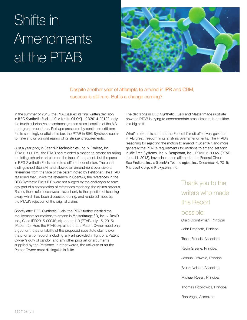# Shifts in Amendments at the PTAB



Despite another year of attempts to amend in IPR and CBM, success is still rare. But is a change coming?

In the summer of 2015, the PTAB issued its final written decision in *REG Synthetic Fuels LLC v. Neste Oil OYJ, IPR2014-00192,* only the fourth substantive amendment granted since inception of the AIA post-grant procedures. Perhaps pressured by continued criticism for its seemingly unattainable bar, the PTAB in *REG Synthetic* seems to have shown a slight easing of its stringent requirements.

Just a year prior, in *ScentAir Technologies, Inc. v. Prolitec, Inc.,* IPR2013-00179, the PTAB had rejected a motion to amend for failing to distinguish prior art cited on the face of the patent, but the panel in REG Synthetic Fuels came to a different conclusion. The panel distinguished ScentAir and allowed an amendment over several references from the face of the patent noted by Petitioner. The PTAB reasoned that, unlike the reference in ScentAir, the references in the REG Synthetic Fuels IPR were not alleged by the challenger to form any part of a combination of references rendering the claims obvious. Rather, these references were relevant only to the question of teaching away, which had been discussed during, and rendered moot by, the PTAB's rejection of the original claims.

Shortly after REG Synthetic Fuels, the PTAB further clarified the requirements for motions to amend in *MasterImage 3D, Inc. v. RealD Inc.,* Case IPR2015-00040, slip op. at 1-3 (PTAB July 15, 2015) (Paper 42). Here the PTAB explained that a Patent Owner need only argue for the patentability of the proposed substitute claims over the prior art of record, including any art provided in light of a Patent Owner's duty of candor, and any other prior art or arguments supplied by the Petitioner. In other words, the universe of art the Patent Owner must distinguish is finite.

The decisions in REG Synthetic Fuels and MasterImage illustrate how the PTAB is trying to accommodate amendments, but neither is a big shift.

What's more, this summer the Federal Circuit effectively gave the PTAB great freedom in its analysis over amendments. The PTAB's reasoning for rejecting the motion to amend in ScentAir, and more generally the PTAB's requirements for motions to amend set forth in *Idle Free Systems, Inc. v. Bergstrom, Inc.,* IPR2012–00027 (PTAB June 11, 2013), have since been affirmed at the Federal Circuit. See *Prolitec, Inc. v. ScentAir Technologies, Inc.* December 4, 2015; *Microsoft Corp. v. Proxyconn, Inc.*

> Thank you to the writers who made this Report possible: Craig Countryman, Principal John Dragseth, Principal Tasha Francis, Associate Kevin Greene, Principal Joshua Griswold, Principal Stuart Nelson, Associate Michael Rosen, Principal Thomas Rozylowicz, Principal Ron Vogel, Associate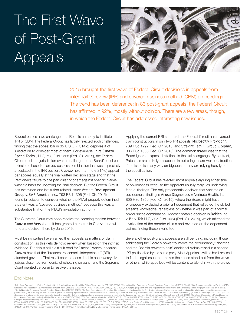# The First Wave of Post-Grant Appeals



2015 brought the first wave of Federal Circuit decisions in appeals from *inter partes* review (IPR) and covered business method (CBM) proceedings. The trend has been deference: in 83 post-grant appeals, the Federal Circuit has affirmed in 92%, mostly without opinion. There are a few areas, though, in which the Federal Circuit has addressed interesting new issues.

Several parties have challenged the Board's authority to institute an IPR or CBM. The Federal Circuit has largely rejected such challenges, finding that the appeal bar in 35 U.S.C. § 314(d) deprives it of jurisdiction to consider most of them. For example, *In re Cuozzo Speed Techs., LLC,* 793 F.3d 1268 (Fed. Cir. 2015), the Federal Circuit declined jurisdiction over a challenge to the Board's decision to institute based on an obviousness combination that wasn't precisely articulated in the IPR petition. *Cuozzo* held that the § 314(d) appeal bar applies equally at the final written decision stage and that the Petitioner's failure to cite particular prior art against specific claims wasn't a basis for upsetting the final decision. But the Federal Circuit has examined one institution-related issue: *Versata Development Group v. SAP America, Inc.,* 793 F.3d 1306 (Fed. Cir. 2015). It found jurisdiction to consider whether the PTAB properly determined a patent was a "covered business method," because this was a substantive limit on the PTAB's invalidation authority.

The Supreme Court may soon resolve the seeming tension between *Cuozzo* and *Versata,* as it has granted certiorari in *Cuozzo* and will render a decision there by June 2016.

Most losing parties have framed their appeals as matters of claim construction, as this gets de novo review when based on the intrinsic evidence. But this is still a difficult road for Patent Owners, because *Cuozzo* held that the "broadest reasonable interpretation" (BRI) standard governs. That result sparked considerable controversy–five judges dissented from denial of rehearing en banc, and the Supreme Court granted certiorari to resolve the issue.

Applying the current BRI standard, the Federal Circuit has reversed claim constructions in only two IPR appeals: *Microsoft v. Proxyconn,* 789 F.3d 1292 (Fed. Cir. 2015) and *Straight Path IP Group v. Sipnet,*  806 F.3d 1356 (Fed. Cir. 2015). The common thread was that the Board ignored express limitations in the claim language. By contrast, Patentees are unlikely to succeed in obtaining a narrower construction if the issue is in any way ambiguous or they are relying heavily on the specification.

The Federal Circuit has rejected most appeals arguing either side of obviousness because the Appellant usually reargues underlying factual findings. The only precedential decision that vacates an obviousness finding is *Ariosa Diagnostics v. Verinata Health, Inc.,* 805 F.3d 1359 (Fed. Cir. 2015), where the Board might have erroneously excluded a prior art document that reflected the skilled artisan's knowledge, regardless of whether it was part of a formal obviousness combination. Another notable decision is *Belden Inc. v. Berk-Tek LLC,* 805 F.3d 1064 (Fed. Cir. 2015), which affirmed the invalidation of the broader claims and reversed on the dependent claims, finding those invalid too.

Several other post-grant appeals are still pending, including those addressing the Board's power to invoke the "redundancy" doctrine and the Board's power to "join" additional claims raised in a second IPR petition filed by the same party. Most Appellants will be hard-pressed to find a legal issue that makes their case stand out from the wave of others, while appellees will be content to blend in with the crowd.

#### End Notes

Collificor Corporation v. Philips Electronics NumEn STATES PATENT AND TRADEMARK OFFICE. Apr. 4, 2012, www.usptyt Compary w. Benefit Regulations/america-invents-act-aia/message-chief-judge James Dondof Smith, USPTO<br>2011 Lif